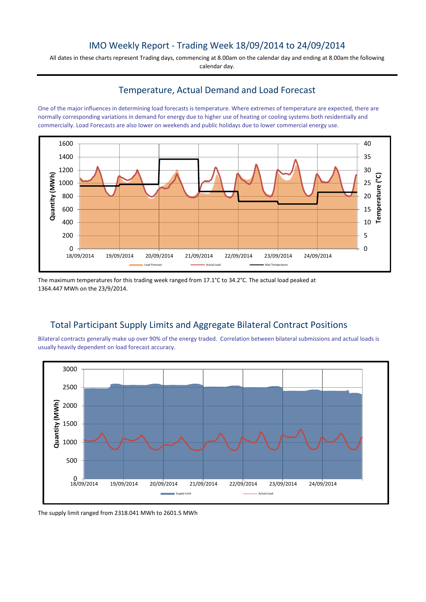## IMO Weekly Report - Trading Week 18/09/2014 to 24/09/2014

All dates in these charts represent Trading days, commencing at 8.00am on the calendar day and ending at 8.00am the following calendar day.

### Temperature, Actual Demand and Load Forecast

One of the major influences in determining load forecasts is temperature. Where extremes of temperature are expected, there are normally corresponding variations in demand for energy due to higher use of heating or cooling systems both residentially and commercially. Load Forecasts are also lower on weekends and public holidays due to lower commercial energy use.



The maximum temperatures for this trading week ranged from 17.1°C to 34.2°C. The actual load peaked at 1364.447 MWh on the 23/9/2014.

## Total Participant Supply Limits and Aggregate Bilateral Contract Positions

Bilateral contracts generally make up over 90% of the energy traded. Correlation between bilateral submissions and actual loads is usually heavily dependent on load forecast accuracy.



The supply limit ranged from 2318.041 MWh to 2601.5 MWh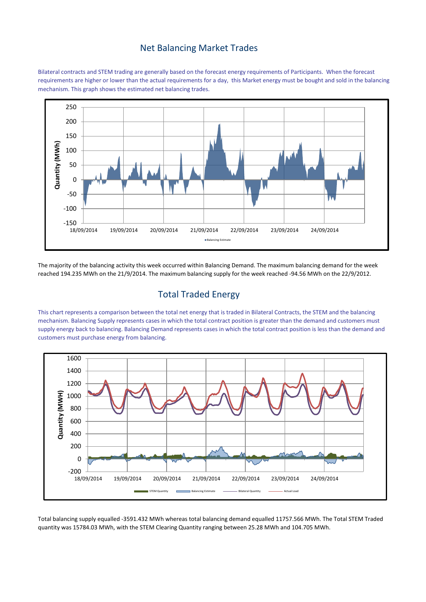#### Net Balancing Market Trades

Bilateral contracts and STEM trading are generally based on the forecast energy requirements of Participants. When the forecast requirements are higher or lower than the actual requirements for a day, this Market energy must be bought and sold in the balancing mechanism. This graph shows the estimated net balancing trades.



The majority of the balancing activity this week occurred within Balancing Demand. The maximum balancing demand for the week reached 194.235 MWh on the 21/9/2014. The maximum balancing supply for the week reached -94.56 MWh on the 22/9/2012.

## Total Traded Energy

This chart represents a comparison between the total net energy that is traded in Bilateral Contracts, the STEM and the balancing mechanism. Balancing Supply represents cases in which the total contract position is greater than the demand and customers must supply energy back to balancing. Balancing Demand represents cases in which the total contract position is less than the demand and customers must purchase energy from balancing.



Total balancing supply equalled -3591.432 MWh whereas total balancing demand equalled 11757.566 MWh. The Total STEM Traded quantity was 15784.03 MWh, with the STEM Clearing Quantity ranging between 25.28 MWh and 104.705 MWh.